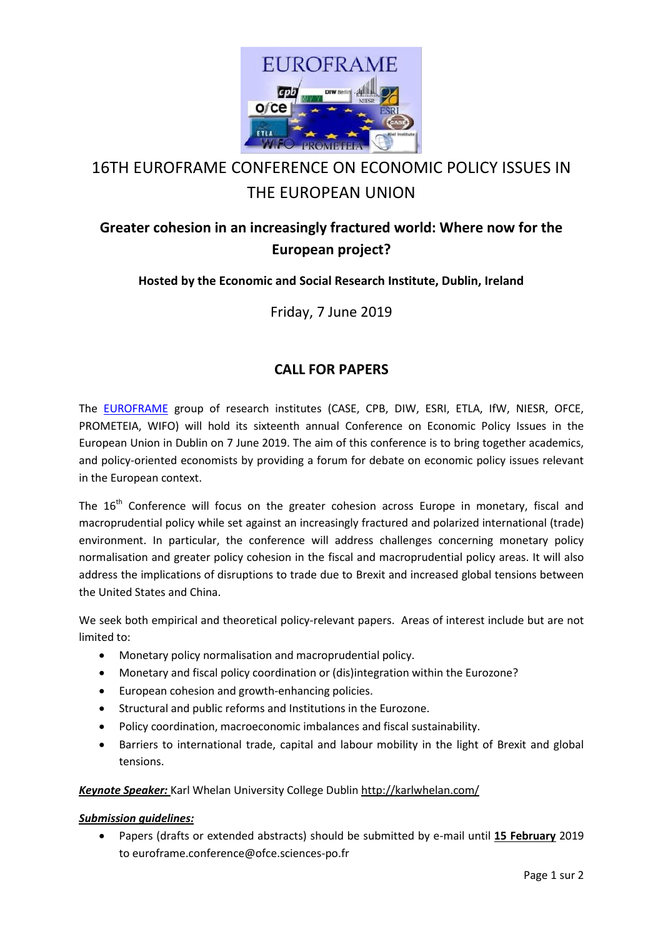

# 16TH EUROFRAME CONFERENCE ON ECONOMIC POLICY ISSUES IN THE EUROPEAN UNION

# **Greater cohesion in an increasingly fractured world: Where now for the European project?**

### **Hosted by the Economic and Social Research Institute, Dublin, Ireland**

Friday, 7 June 2019

## **CALL FOR PAPERS**

The [EUROFRAME](http://euroframe.org/) group of research institutes (CASE, CPB, DIW, ESRI, ETLA, IfW, NIESR, OFCE, PROMETEIA, WIFO) will hold its sixteenth annual Conference on Economic Policy Issues in the European Union in Dublin on 7 June 2019. The aim of this conference is to bring together academics, and policy-oriented economists by providing a forum for debate on economic policy issues relevant in the European context.

The 16<sup>th</sup> Conference will focus on the greater cohesion across Europe in monetary, fiscal and macroprudential policy while set against an increasingly fractured and polarized international (trade) environment. In particular, the conference will address challenges concerning monetary policy normalisation and greater policy cohesion in the fiscal and macroprudential policy areas. It will also address the implications of disruptions to trade due to Brexit and increased global tensions between the United States and China.

We seek both empirical and theoretical policy-relevant papers. Areas of interest include but are not limited to:

- Monetary policy normalisation and macroprudential policy.
- Monetary and fiscal policy coordination or (dis)integration within the Eurozone?
- European cohesion and growth-enhancing policies.
- Structural and public reforms and Institutions in the Eurozone.
- Policy coordination, macroeconomic imbalances and fiscal sustainability.
- Barriers to international trade, capital and labour mobility in the light of Brexit and global tensions.

#### *Keynote Speaker:* Karl Whelan University College Dubli[n http://karlwhelan.com/](http://karlwhelan.com/)

#### *Submission guidelines:*

 Papers (drafts or extended abstracts) should be submitted by e-mail until **15 February** 2019 to euroframe.conference@ofce.sciences-po.fr